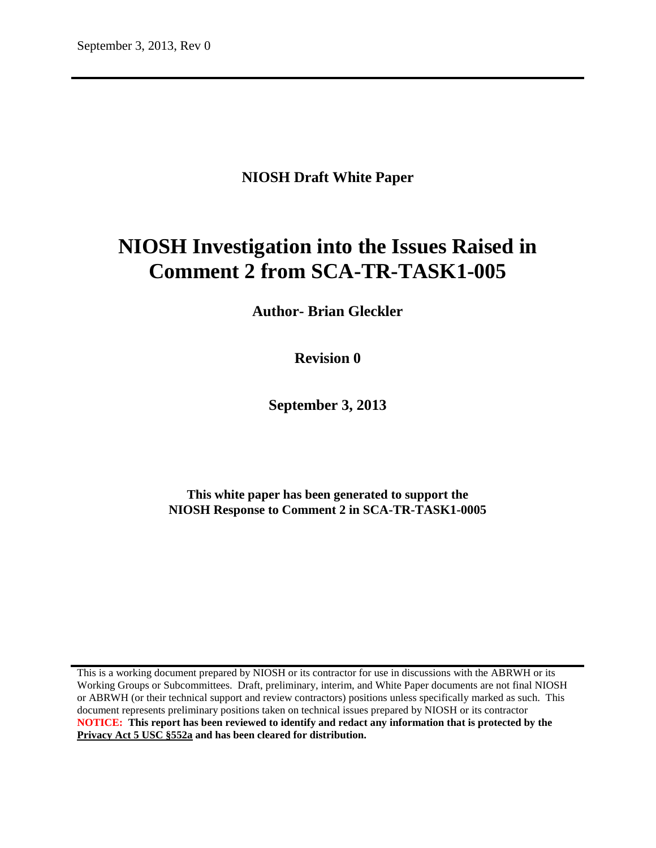# **NIOSH Draft White Paper**

# **NIOSH Investigation into the Issues Raised in Comment 2 from SCA-TR-TASK1-005**

**Author- Brian Gleckler**

**Revision 0**

**September 3, 2013**

**This white paper has been generated to support the NIOSH Response to Comment 2 in SCA-TR-TASK1-0005**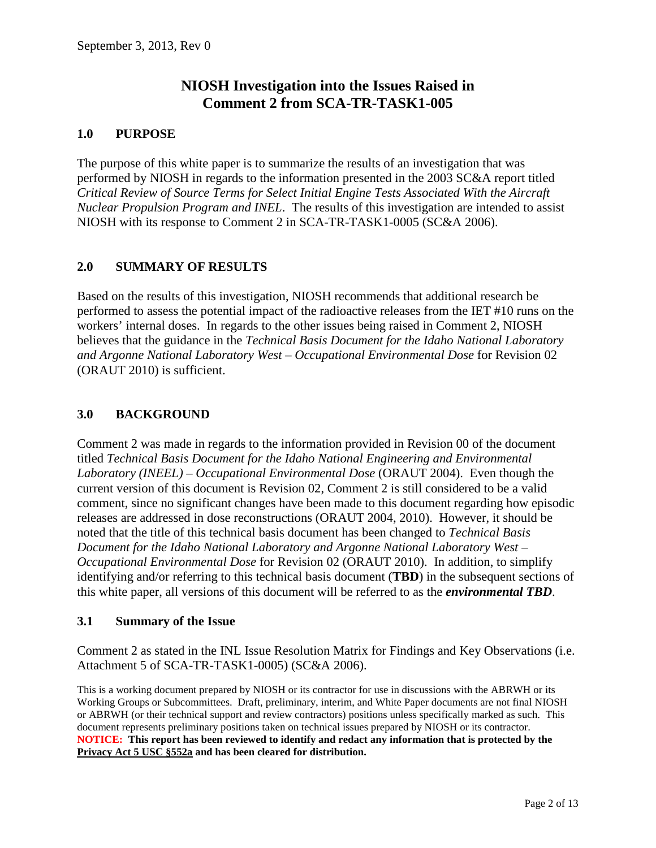# **NIOSH Investigation into the Issues Raised in Comment 2 from SCA-TR-TASK1-005**

#### **1.0 PURPOSE**

The purpose of this white paper is to summarize the results of an investigation that was performed by NIOSH in regards to the information presented in the 2003 SC&A report titled *Critical Review of Source Terms for Select Initial Engine Tests Associated With the Aircraft Nuclear Propulsion Program and INEL*. The results of this investigation are intended to assist NIOSH with its response to Comment 2 in SCA-TR-TASK1-0005 (SC&A 2006).

#### **2.0 SUMMARY OF RESULTS**

Based on the results of this investigation, NIOSH recommends that additional research be performed to assess the potential impact of the radioactive releases from the IET #10 runs on the workers' internal doses. In regards to the other issues being raised in Comment 2, NIOSH believes that the guidance in the *Technical Basis Document for the Idaho National Laboratory and Argonne National Laboratory West – Occupational Environmental Dose* for Revision 02 (ORAUT 2010) is sufficient.

#### **3.0 BACKGROUND**

Comment 2 was made in regards to the information provided in Revision 00 of the document titled *Technical Basis Document for the Idaho National Engineering and Environmental Laboratory (INEEL) – Occupational Environmental Dose* (ORAUT 2004). Even though the current version of this document is Revision 02, Comment 2 is still considered to be a valid comment, since no significant changes have been made to this document regarding how episodic releases are addressed in dose reconstructions (ORAUT 2004, 2010). However, it should be noted that the title of this technical basis document has been changed to *Technical Basis Document for the Idaho National Laboratory and Argonne National Laboratory West – Occupational Environmental Dose* for Revision 02 (ORAUT 2010). In addition, to simplify identifying and/or referring to this technical basis document (**TBD**) in the subsequent sections of this white paper, all versions of this document will be referred to as the *environmental TBD*.

#### **3.1 Summary of the Issue**

Comment 2 as stated in the INL Issue Resolution Matrix for Findings and Key Observations (i.e. Attachment 5 of SCA-TR-TASK1-0005) (SC&A 2006).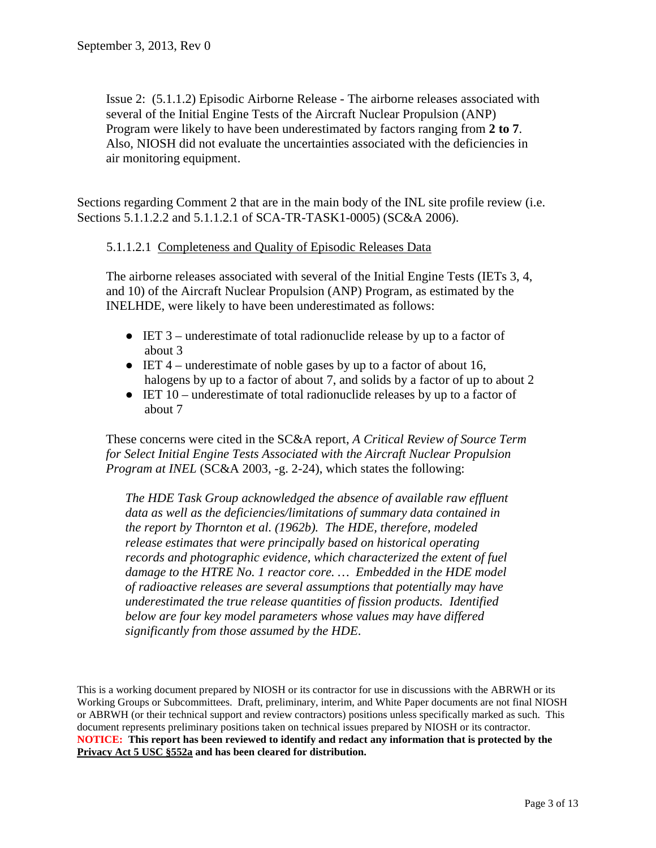Issue 2: (5.1.1.2) Episodic Airborne Release - The airborne releases associated with several of the Initial Engine Tests of the Aircraft Nuclear Propulsion (ANP) Program were likely to have been underestimated by factors ranging from **2 to 7**. Also, NIOSH did not evaluate the uncertainties associated with the deficiencies in air monitoring equipment.

Sections regarding Comment 2 that are in the main body of the INL site profile review (i.e. Sections 5.1.1.2.2 and 5.1.1.2.1 of SCA-TR-TASK1-0005) (SC&A 2006).

#### 5.1.1.2.1 Completeness and Quality of Episodic Releases Data

The airborne releases associated with several of the Initial Engine Tests (IETs 3, 4, and 10) of the Aircraft Nuclear Propulsion (ANP) Program, as estimated by the INELHDE, were likely to have been underestimated as follows:

- IET 3 underestimate of total radionuclide release by up to a factor of about 3
- $\bullet$  IET 4 underestimate of noble gases by up to a factor of about 16, halogens by up to a factor of about 7, and solids by a factor of up to about 2
- IET 10 underestimate of total radionuclide releases by up to a factor of about 7

These concerns were cited in the SC&A report, *A Critical Review of Source Term for Select Initial Engine Tests Associated with the Aircraft Nuclear Propulsion Program at INEL* (SC&A 2003, -g. 2-24), which states the following:

*The HDE Task Group acknowledged the absence of available raw effluent data as well as the deficiencies/limitations of summary data contained in the report by Thornton et al. (1962b). The HDE, therefore, modeled release estimates that were principally based on historical operating records and photographic evidence, which characterized the extent of fuel damage to the HTRE No. 1 reactor core. … Embedded in the HDE model of radioactive releases are several assumptions that potentially may have underestimated the true release quantities of fission products. Identified below are four key model parameters whose values may have differed significantly from those assumed by the HDE*.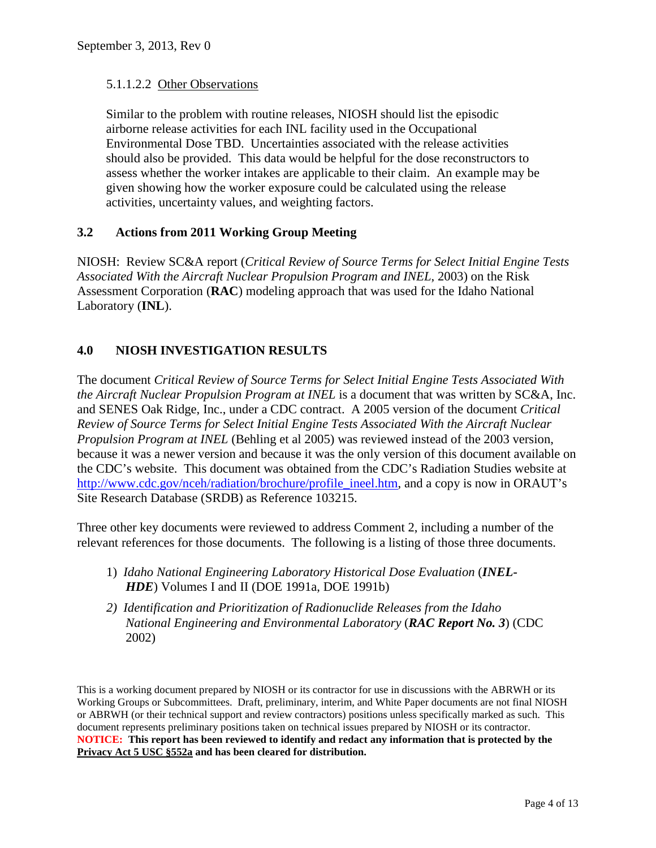#### 5.1.1.2.2 Other Observations

Similar to the problem with routine releases, NIOSH should list the episodic airborne release activities for each INL facility used in the Occupational Environmental Dose TBD. Uncertainties associated with the release activities should also be provided. This data would be helpful for the dose reconstructors to assess whether the worker intakes are applicable to their claim. An example may be given showing how the worker exposure could be calculated using the release activities, uncertainty values, and weighting factors.

# **3.2 Actions from 2011 Working Group Meeting**

NIOSH: Review SC&A report (*Critical Review of Source Terms for Select Initial Engine Tests Associated With the Aircraft Nuclear Propulsion Program and INEL*, 2003) on the Risk Assessment Corporation (**RAC**) modeling approach that was used for the Idaho National Laboratory (**INL**).

# **4.0 NIOSH INVESTIGATION RESULTS**

The document *Critical Review of Source Terms for Select Initial Engine Tests Associated With the Aircraft Nuclear Propulsion Program at INEL* is a document that was written by SC&A, Inc. and SENES Oak Ridge, Inc., under a CDC contract. A 2005 version of the document *Critical Review of Source Terms for Select Initial Engine Tests Associated With the Aircraft Nuclear Propulsion Program at INEL* (Behling et al 2005) was reviewed instead of the 2003 version, because it was a newer version and because it was the only version of this document available on the CDC's website. This document was obtained from the CDC's Radiation Studies website at [http://www.cdc.gov/nceh/radiation/brochure/profile\\_ineel.htm,](http://www.cdc.gov/nceh/radiation/brochure/profile_ineel.htm) and a copy is now in ORAUT's Site Research Database (SRDB) as Reference 103215.

Three other key documents were reviewed to address Comment 2, including a number of the relevant references for those documents. The following is a listing of those three documents.

- 1) *Idaho National Engineering Laboratory Historical Dose Evaluation* (*INEL-HDE*) Volumes I and II (DOE 1991a, DOE 1991b)
- *2) Identification and Prioritization of Radionuclide Releases from the Idaho National Engineering and Environmental Laboratory* (*RAC Report No. 3*) (CDC 2002)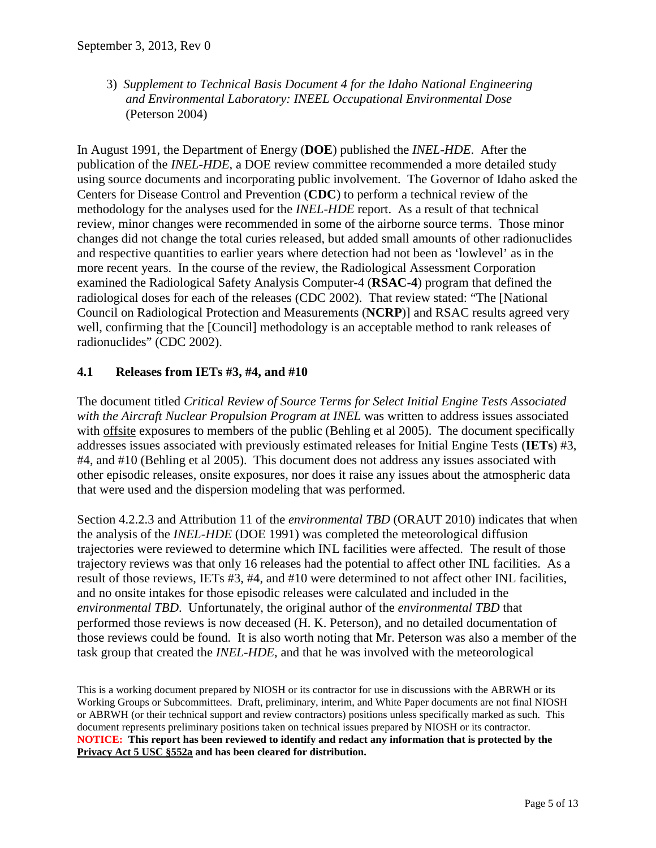3) *Supplement to Technical Basis Document 4 for the Idaho National Engineering and Environmental Laboratory: INEEL Occupational Environmental Dose* (Peterson 2004)

In August 1991, the Department of Energy (**DOE**) published the *INEL-HDE*. After the publication of the *INEL-HDE*, a DOE review committee recommended a more detailed study using source documents and incorporating public involvement. The Governor of Idaho asked the Centers for Disease Control and Prevention (**CDC**) to perform a technical review of the methodology for the analyses used for the *INEL-HDE* report. As a result of that technical review, minor changes were recommended in some of the airborne source terms. Those minor changes did not change the total curies released, but added small amounts of other radionuclides and respective quantities to earlier years where detection had not been as 'lowlevel' as in the more recent years. In the course of the review, the Radiological Assessment Corporation examined the Radiological Safety Analysis Computer-4 (**RSAC-4**) program that defined the radiological doses for each of the releases (CDC 2002). That review stated: "The [National Council on Radiological Protection and Measurements (**NCRP**)] and RSAC results agreed very well, confirming that the [Council] methodology is an acceptable method to rank releases of radionuclides" (CDC 2002).

# **4.1 Releases from IETs #3, #4, and #10**

The document titled *Critical Review of Source Terms for Select Initial Engine Tests Associated with the Aircraft Nuclear Propulsion Program at INEL* was written to address issues associated with offsite exposures to members of the public (Behling et al 2005). The document specifically addresses issues associated with previously estimated releases for Initial Engine Tests (**IETs**) #3, #4, and #10 (Behling et al 2005). This document does not address any issues associated with other episodic releases, onsite exposures, nor does it raise any issues about the atmospheric data that were used and the dispersion modeling that was performed.

Section 4.2.2.3 and Attribution 11 of the *environmental TBD* (ORAUT 2010) indicates that when the analysis of the *INEL-HDE* (DOE 1991) was completed the meteorological diffusion trajectories were reviewed to determine which INL facilities were affected. The result of those trajectory reviews was that only 16 releases had the potential to affect other INL facilities. As a result of those reviews, IETs #3, #4, and #10 were determined to not affect other INL facilities, and no onsite intakes for those episodic releases were calculated and included in the *environmental TBD*. Unfortunately, the original author of the *environmental TBD* that performed those reviews is now deceased (H. K. Peterson), and no detailed documentation of those reviews could be found. It is also worth noting that Mr. Peterson was also a member of the task group that created the *INEL-HDE*, and that he was involved with the meteorological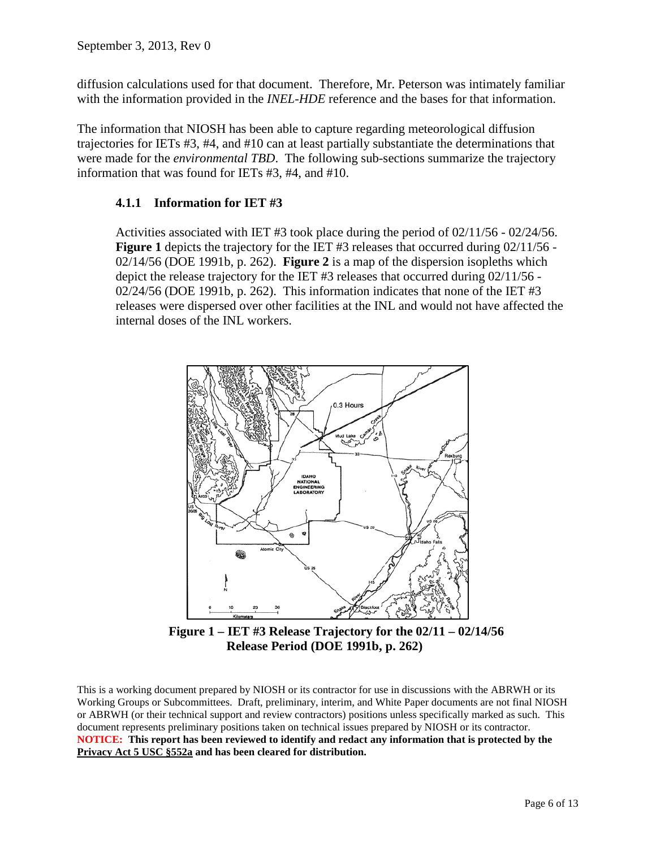diffusion calculations used for that document. Therefore, Mr. Peterson was intimately familiar with the information provided in the *INEL-HDE* reference and the bases for that information.

The information that NIOSH has been able to capture regarding meteorological diffusion trajectories for IETs #3, #4, and #10 can at least partially substantiate the determinations that were made for the *environmental TBD*. The following sub-sections summarize the trajectory information that was found for IETs #3, #4, and #10.

# **4.1.1 Information for IET #3**

Activities associated with IET #3 took place during the period of  $02/11/56 - 02/24/56$ . **Figure 1** depicts the trajectory for the IET #3 releases that occurred during 02/11/56 -02/14/56 (DOE 1991b, p. 262). **Figure 2** is a map of the dispersion isopleths which depict the release trajectory for the IET #3 releases that occurred during 02/11/56 -  $02/24/56$  (DOE 1991b, p. 262). This information indicates that none of the IET #3 releases were dispersed over other facilities at the INL and would not have affected the internal doses of the INL workers.



**Figure 1 – IET #3 Release Trajectory for the 02/11 – 02/14/56 Release Period (DOE 1991b, p. 262)**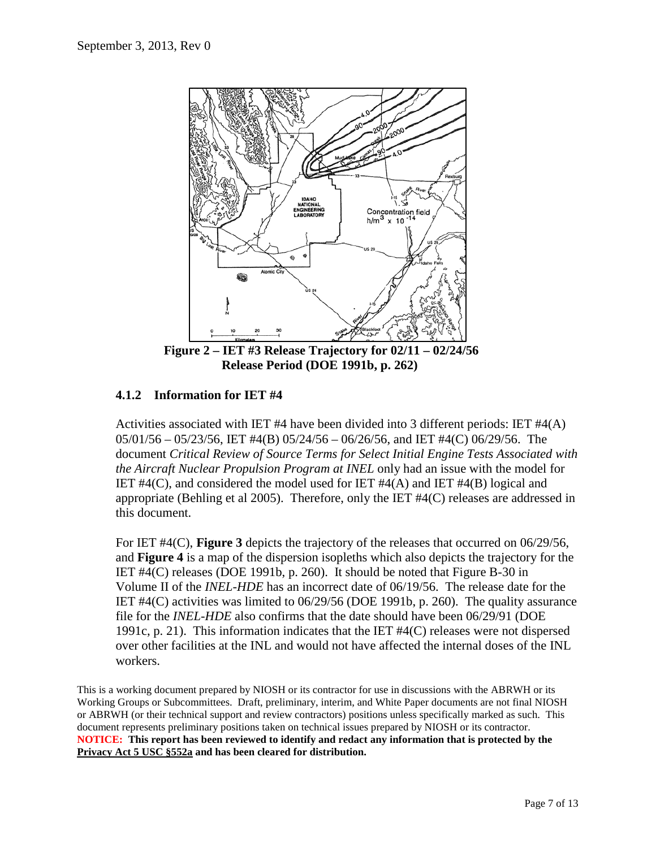

**Release Period (DOE 1991b, p. 262)**

# **4.1.2 Information for IET #4**

Activities associated with IET #4 have been divided into 3 different periods: IET  $#4(A)$ 05/01/56 – 05/23/56, IET #4(B) 05/24/56 – 06/26/56, and IET #4(C) 06/29/56. The document *Critical Review of Source Terms for Select Initial Engine Tests Associated with the Aircraft Nuclear Propulsion Program at INEL* only had an issue with the model for IET  $#4(C)$ , and considered the model used for IET  $#4(A)$  and IET  $#4(B)$  logical and appropriate (Behling et al 2005). Therefore, only the IET #4(C) releases are addressed in this document.

For IET #4(C), **Figure 3** depicts the trajectory of the releases that occurred on 06/29/56, and **Figure 4** is a map of the dispersion isopleths which also depicts the trajectory for the IET #4(C) releases (DOE 1991b, p. 260). It should be noted that Figure B-30 in Volume II of the *INEL-HDE* has an incorrect date of 06/19/56. The release date for the IET #4(C) activities was limited to 06/29/56 (DOE 1991b, p. 260). The quality assurance file for the *INEL-HDE* also confirms that the date should have been 06/29/91 (DOE 1991c, p. 21). This information indicates that the IET #4(C) releases were not dispersed over other facilities at the INL and would not have affected the internal doses of the INL workers.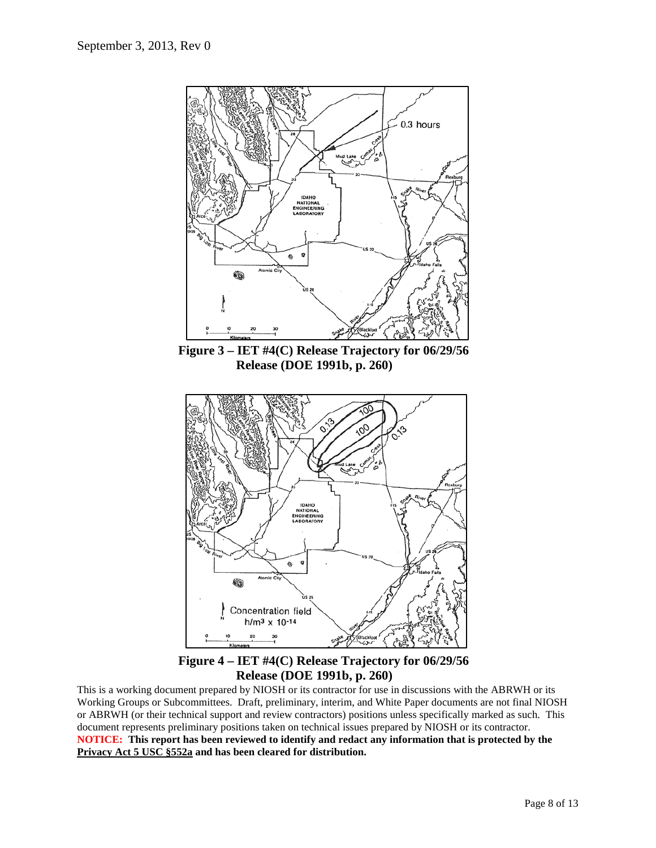

**Figure 4 – IET #4(C) Release Trajectory for 06/29/56 Release (DOE 1991b, p. 260)**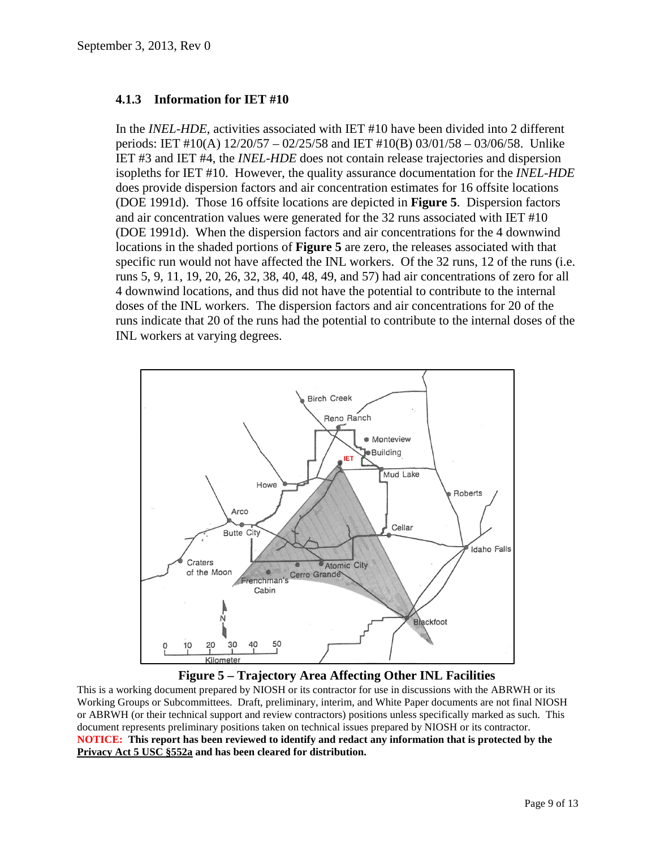#### **4.1.3 Information for IET #10**

In the *INEL-HDE*, activities associated with IET #10 have been divided into 2 different periods: IET #10(A) 12/20/57 – 02/25/58 and IET #10(B) 03/01/58 – 03/06/58. Unlike IET #3 and IET #4, the *INEL-HDE* does not contain release trajectories and dispersion isopleths for IET #10. However, the quality assurance documentation for the *INEL-HDE* does provide dispersion factors and air concentration estimates for 16 offsite locations (DOE 1991d). Those 16 offsite locations are depicted in **Figure 5**. Dispersion factors and air concentration values were generated for the 32 runs associated with IET #10 (DOE 1991d). When the dispersion factors and air concentrations for the 4 downwind locations in the shaded portions of **Figure 5** are zero, the releases associated with that specific run would not have affected the INL workers. Of the 32 runs, 12 of the runs (i.e. runs 5, 9, 11, 19, 20, 26, 32, 38, 40, 48, 49, and 57) had air concentrations of zero for all 4 downwind locations, and thus did not have the potential to contribute to the internal doses of the INL workers. The dispersion factors and air concentrations for 20 of the runs indicate that 20 of the runs had the potential to contribute to the internal doses of the INL workers at varying degrees.



**Figure 5 – Trajectory Area Affecting Other INL Facilities**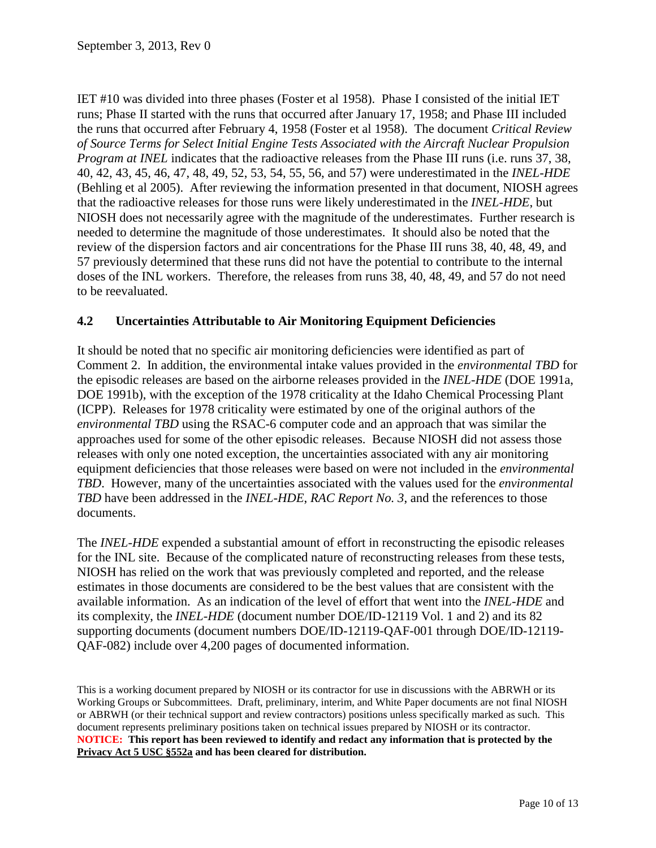IET #10 was divided into three phases (Foster et al 1958). Phase I consisted of the initial IET runs; Phase II started with the runs that occurred after January 17, 1958; and Phase III included the runs that occurred after February 4, 1958 (Foster et al 1958). The document *Critical Review of Source Terms for Select Initial Engine Tests Associated with the Aircraft Nuclear Propulsion Program at INEL* indicates that the radioactive releases from the Phase III runs (i.e. runs 37, 38, 40, 42, 43, 45, 46, 47, 48, 49, 52, 53, 54, 55, 56, and 57) were underestimated in the *INEL-HDE* (Behling et al 2005). After reviewing the information presented in that document, NIOSH agrees that the radioactive releases for those runs were likely underestimated in the *INEL-HDE*, but NIOSH does not necessarily agree with the magnitude of the underestimates. Further research is needed to determine the magnitude of those underestimates. It should also be noted that the review of the dispersion factors and air concentrations for the Phase III runs 38, 40, 48, 49, and 57 previously determined that these runs did not have the potential to contribute to the internal doses of the INL workers. Therefore, the releases from runs 38, 40, 48, 49, and 57 do not need to be reevaluated.

# **4.2 Uncertainties Attributable to Air Monitoring Equipment Deficiencies**

It should be noted that no specific air monitoring deficiencies were identified as part of Comment 2. In addition, the environmental intake values provided in the *environmental TBD* for the episodic releases are based on the airborne releases provided in the *INEL-HDE* (DOE 1991a, DOE 1991b), with the exception of the 1978 criticality at the Idaho Chemical Processing Plant (ICPP). Releases for 1978 criticality were estimated by one of the original authors of the *environmental TBD* using the RSAC-6 computer code and an approach that was similar the approaches used for some of the other episodic releases. Because NIOSH did not assess those releases with only one noted exception, the uncertainties associated with any air monitoring equipment deficiencies that those releases were based on were not included in the *environmental TBD*. However, many of the uncertainties associated with the values used for the *environmental TBD* have been addressed in the *INEL-HDE*, *RAC Report No. 3*, and the references to those documents.

The *INEL-HDE* expended a substantial amount of effort in reconstructing the episodic releases for the INL site. Because of the complicated nature of reconstructing releases from these tests, NIOSH has relied on the work that was previously completed and reported, and the release estimates in those documents are considered to be the best values that are consistent with the available information. As an indication of the level of effort that went into the *INEL-HDE* and its complexity, the *INEL-HDE* (document number DOE/ID-12119 Vol. 1 and 2) and its 82 supporting documents (document numbers DOE/ID-12119-QAF-001 through DOE/ID-12119- QAF-082) include over 4,200 pages of documented information.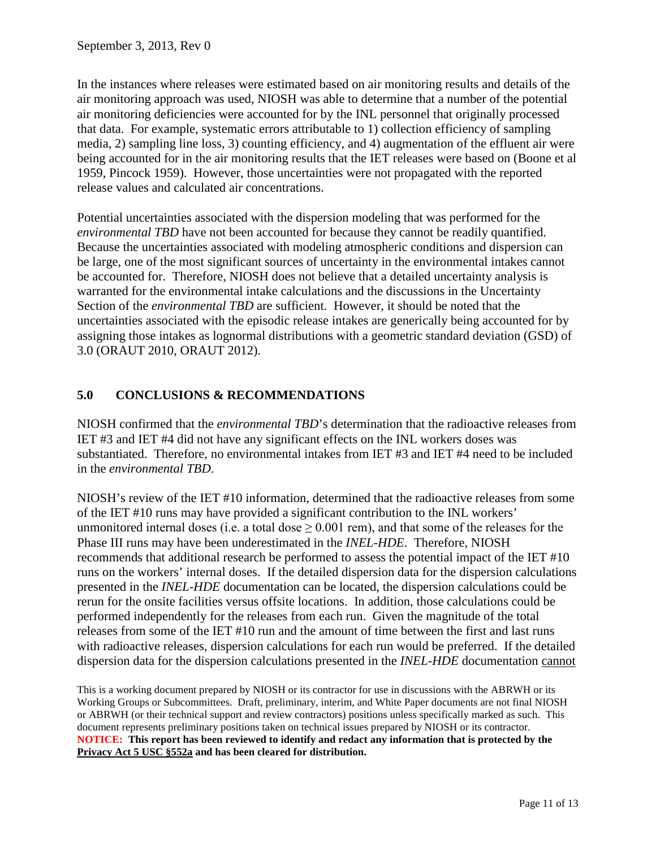In the instances where releases were estimated based on air monitoring results and details of the air monitoring approach was used, NIOSH was able to determine that a number of the potential air monitoring deficiencies were accounted for by the INL personnel that originally processed that data. For example, systematic errors attributable to 1) collection efficiency of sampling media, 2) sampling line loss, 3) counting efficiency, and 4) augmentation of the effluent air were being accounted for in the air monitoring results that the IET releases were based on (Boone et al 1959, Pincock 1959). However, those uncertainties were not propagated with the reported release values and calculated air concentrations.

Potential uncertainties associated with the dispersion modeling that was performed for the *environmental TBD* have not been accounted for because they cannot be readily quantified. Because the uncertainties associated with modeling atmospheric conditions and dispersion can be large, one of the most significant sources of uncertainty in the environmental intakes cannot be accounted for. Therefore, NIOSH does not believe that a detailed uncertainty analysis is warranted for the environmental intake calculations and the discussions in the Uncertainty Section of the *environmental TBD* are sufficient. However, it should be noted that the uncertainties associated with the episodic release intakes are generically being accounted for by assigning those intakes as lognormal distributions with a geometric standard deviation (GSD) of 3.0 (ORAUT 2010, ORAUT 2012).

# **5.0 CONCLUSIONS & RECOMMENDATIONS**

NIOSH confirmed that the *environmental TBD*'s determination that the radioactive releases from IET #3 and IET #4 did not have any significant effects on the INL workers doses was substantiated. Therefore, no environmental intakes from IET #3 and IET #4 need to be included in the *environmental TBD*.

NIOSH's review of the IET #10 information, determined that the radioactive releases from some of the IET #10 runs may have provided a significant contribution to the INL workers' unmonitored internal doses (i.e. a total dose  $> 0.001$  rem), and that some of the releases for the Phase III runs may have been underestimated in the *INEL-HDE*. Therefore, NIOSH recommends that additional research be performed to assess the potential impact of the IET #10 runs on the workers' internal doses. If the detailed dispersion data for the dispersion calculations presented in the *INEL-HDE* documentation can be located, the dispersion calculations could be rerun for the onsite facilities versus offsite locations. In addition, those calculations could be performed independently for the releases from each run. Given the magnitude of the total releases from some of the IET #10 run and the amount of time between the first and last runs with radioactive releases, dispersion calculations for each run would be preferred. If the detailed dispersion data for the dispersion calculations presented in the *INEL-HDE* documentation cannot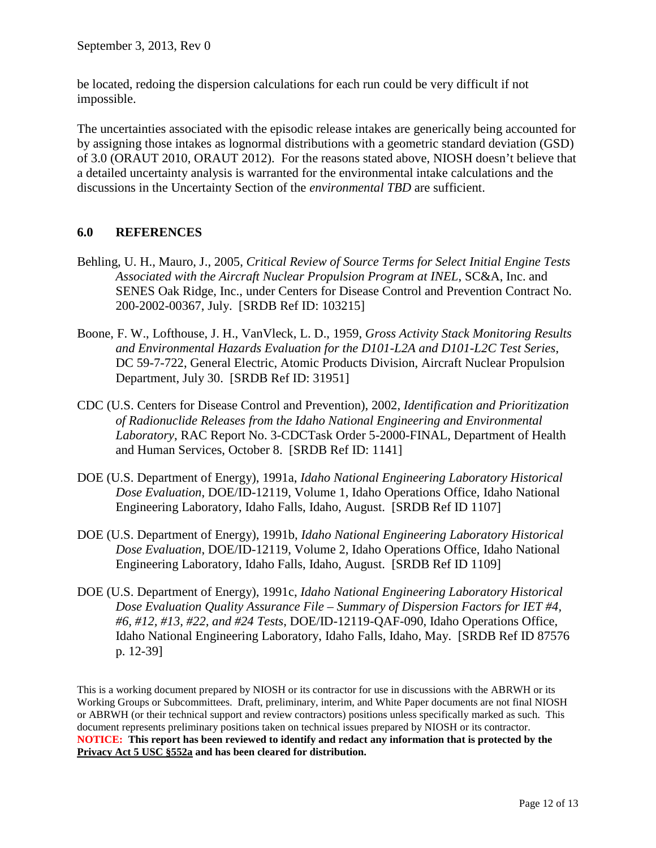be located, redoing the dispersion calculations for each run could be very difficult if not impossible.

The uncertainties associated with the episodic release intakes are generically being accounted for by assigning those intakes as lognormal distributions with a geometric standard deviation (GSD) of 3.0 (ORAUT 2010, ORAUT 2012). For the reasons stated above, NIOSH doesn't believe that a detailed uncertainty analysis is warranted for the environmental intake calculations and the discussions in the Uncertainty Section of the *environmental TBD* are sufficient.

# **6.0 REFERENCES**

- Behling, U. H., Mauro, J., 2005, *Critical Review of Source Terms for Select Initial Engine Tests Associated with the Aircraft Nuclear Propulsion Program at INEL*, SC&A, Inc. and SENES Oak Ridge, Inc., under Centers for Disease Control and Prevention Contract No. 200-2002-00367, July. [SRDB Ref ID: 103215]
- Boone, F. W., Lofthouse, J. H., VanVleck, L. D., 1959, *Gross Activity Stack Monitoring Results and Environmental Hazards Evaluation for the D101-L2A and D101-L2C Test Series*, DC 59-7-722, General Electric, Atomic Products Division, Aircraft Nuclear Propulsion Department, July 30. [SRDB Ref ID: 31951]
- CDC (U.S. Centers for Disease Control and Prevention), 2002, *Identification and Prioritization of Radionuclide Releases from the Idaho National Engineering and Environmental Laboratory*, RAC Report No. 3-CDCTask Order 5-2000-FINAL, Department of Health and Human Services, October 8. [SRDB Ref ID: 1141]
- DOE (U.S. Department of Energy), 1991a, *Idaho National Engineering Laboratory Historical Dose Evaluation*, DOE/ID-12119, Volume 1, Idaho Operations Office, Idaho National Engineering Laboratory, Idaho Falls, Idaho, August. [SRDB Ref ID 1107]
- DOE (U.S. Department of Energy), 1991b, *Idaho National Engineering Laboratory Historical Dose Evaluation*, DOE/ID-12119, Volume 2, Idaho Operations Office, Idaho National Engineering Laboratory, Idaho Falls, Idaho, August. [SRDB Ref ID 1109]
- DOE (U.S. Department of Energy), 1991c, *Idaho National Engineering Laboratory Historical Dose Evaluation Quality Assurance File – Summary of Dispersion Factors for IET #4, #6, #12, #13, #22, and #24 Tests*, DOE/ID-12119-QAF-090, Idaho Operations Office, Idaho National Engineering Laboratory, Idaho Falls, Idaho, May. [SRDB Ref ID 87576 p. 12-39]